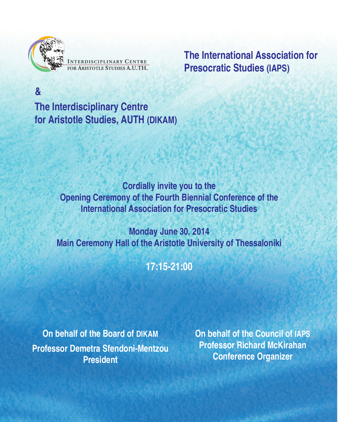**&**

NTERDISCIPLINARY CENTRE<br>OR ARISTOTLE STUDIES A.U.TH.

**The International Association for Presocratic Studies (IAPS)**

**The Interdisciplinary Centre for Aristotle Studies, AUTH (DIKAM)**

> **Cordially invite you to the Opening Ceremony of the Fourth Biennial Conference of the International Association for Presocratic Studies**

**Monday June 30, 2014 Main Ceremony Hall of the Aristotle University of Thessaloniki**

**17:15-21:00**

**On behalf of the Board of DIKAM Professor Demetra Sfendoni-Mentzou President**

**On behalf of the Council of IAPS Professor Richard McKirahan Conference Organizer**